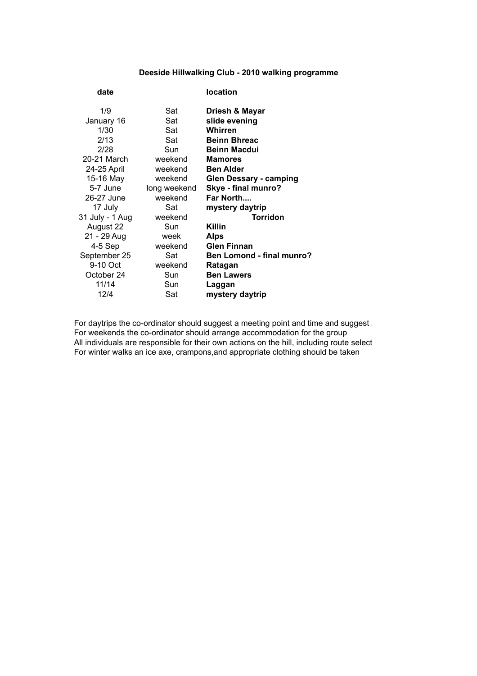## **Deeside Hillwalking Club - 2010 walking programme**

| date            |              | location                         |
|-----------------|--------------|----------------------------------|
| 1/9             | Sat          | Driesh & Mayar                   |
| January 16      | Sat          | slide evening                    |
| 1/30            | Sat          | Whirren                          |
| 2/13            | Sat          | <b>Beinn Bhreac</b>              |
| 2/28            | Sun          | <b>Beinn Macdui</b>              |
| 20-21 March     | weekend      | <b>Mamores</b>                   |
| 24-25 April     | weekend      | <b>Ben Alder</b>                 |
| 15-16 May       | weekend      | <b>Glen Dessary - camping</b>    |
| 5-7 June        | long weekend | Skye - final munro?              |
| 26-27 June      | weekend      | Far North                        |
| 17 July         | Sat          | mystery daytrip                  |
| 31 July - 1 Aug | weekend      | <b>Torridon</b>                  |
| August 22       | Sun          | Killin                           |
| 21 - 29 Aug     | week         | Alps                             |
| 4-5 Sep         | weekend      | <b>Glen Finnan</b>               |
| September 25    | Sat          | <b>Ben Lomond - final munro?</b> |
| 9-10 Oct        | weekend      | Ratagan                          |
| October 24      | Sun          | <b>Ben Lawers</b>                |
| 11/14           | Sun          | Laggan                           |
| 12/4            | Sat          | mystery daytrip                  |
|                 |              |                                  |

For daytrips the co-ordinator should suggest a meeting point and time and suggest For weekends the co-ordinator should arrange accommodation for the group All individuals are responsible for their own actions on the hill, including route select For winter walks an ice axe, crampons,and appropriate clothing should be taken